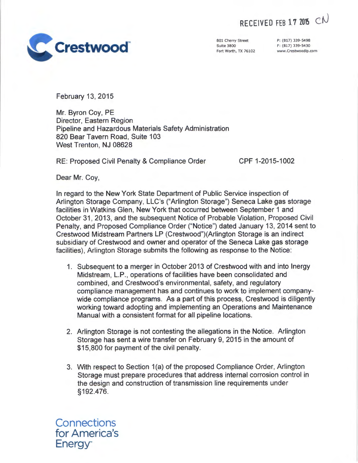RECEIVED FEB 17 2015 CN



801 Cherry Street Suite 3800 Fort Worth, TX 76102

P: (817) 339-5498 F: (817) 339-5430 www.Crestwoodlp.com

February 13, 2015

Mr. Byron Coy, PE Director, Eastern Region Pipeline and Hazardous Materials Safety Administration 820 Bear Tavern Road, Suite 103 West Trenton, NJ 08628

RE: Proposed Civil Penalty & Compliance Order CPF 1-2015-1002

Dear Mr. Coy,

In regard to the New York State Department of Public Service inspection of Arlington Storage Company, LLC's ("Arlington Storage") Seneca Lake gas storage facilities in Watkins Glen, New York that occurred between September 1 and October 31, 2013, and the subsequent Notice of Probable Violation, Proposed Civil Penalty, and Proposed Compliance Order ("Notice") dated January 13, 2014 sent to Crestwood Midstream Partners LP (Crestwood")(Arlington Storage is an indirect subsidiary of Crestwood and owner and operator of the Seneca Lake gas storage facilities), Arlington Storage submits the following as response to the Notice:

- 1. Subsequent to a merger in October 2013 of Crestwood with and into lnergy Midstream, L.P., operations of facilities have been consolidated and combined, and Crestwood's environmental, safety, and regulatory compliance management has and continues to work to implement companywide compliance programs. As a part of this process, Crestwood is diligently working toward adopting and implementing an Operations and Maintenance Manual with a consistent format for all pipeline locations.
- 2. Arlington Storage is not contesting the allegations in the Notice. Arlington Storage has sent a wire transfer on February 9, 2015 in the amount of \$15,800 for payment of the civil penalty.
- 3. With respect to Section 1(a) of the proposed Compliance Order, Arlington Storage must prepare procedures that address internal corrosion control in the design and construction of transmission line requirements under §192.476.

**Connections** for America's Energy~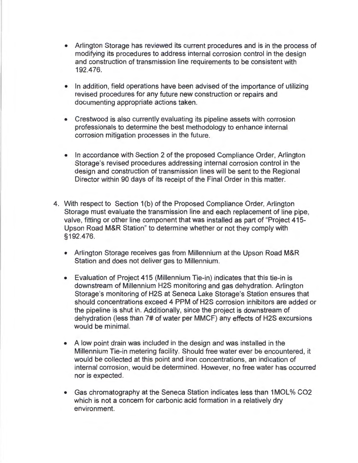- Arlington Storage has reviewed its current procedures and is in the process of modifying its procedures to address internal corrosion control in the design and construction of transmission line requirements to be consistent with 192.476.
- In addition, field operations have been advised of the importance of utilizing revised procedures for any future new construction or repairs and documenting appropriate actions taken.
- Crestwood is also currently evaluating its pipeline assets with corrosion professionals to determine the best methodology to enhance internal corrosion mitigation processes in the future.
- In accordance with Section 2 of the proposed Compliance Order, Arlington Storage's revised procedures addressing internal corrosion control in the design and construction of transmission lines will be sent to the Regional Director within 90 days of its receipt of the Final Order in this matter.
- 4. With respect to Section 1(b) of the Proposed Compliance Order, Arlington Storage must evaluate the transmission line and each replacement of line pipe, valve, fitting or other line component that was installed as part of "Project 415- Upson Road M&R Station" to determine whether or not they comply with §192.476.
	- Arlington Storage receives gas from Millennium at the Upson Road M&R Station and does not deliver gas to Millennium.
	- Evaluation of Project 415 (Millennium Tie-in) indicates that this tie-in is downstream of Millennium H2S monitoring and gas dehydration. Arlington Storage's monitoring of H2S at Seneca Lake Storage's Station ensures that should concentrations exceed 4 PPM of H2S corrosion inhibitors are added or the pipeline is shut in. Additionally, since the project is downstream of dehydration (less than 7# of water per MMCF) any effects of H2S excursions would be minimal.
	- A low point drain was included in the design and was installed in the Millennium Tie-in metering facility. Should free water ever be encountered, it would be collected at this point and iron concentrations, an indication of internal corrosion, would be determined. However, no free water has occurred nor is expected .
	- Gas chromatography at the Seneca Station indicates less than 1 MOL% CO2 which is not a concern for carbonic acid formation in a relatively dry environment.